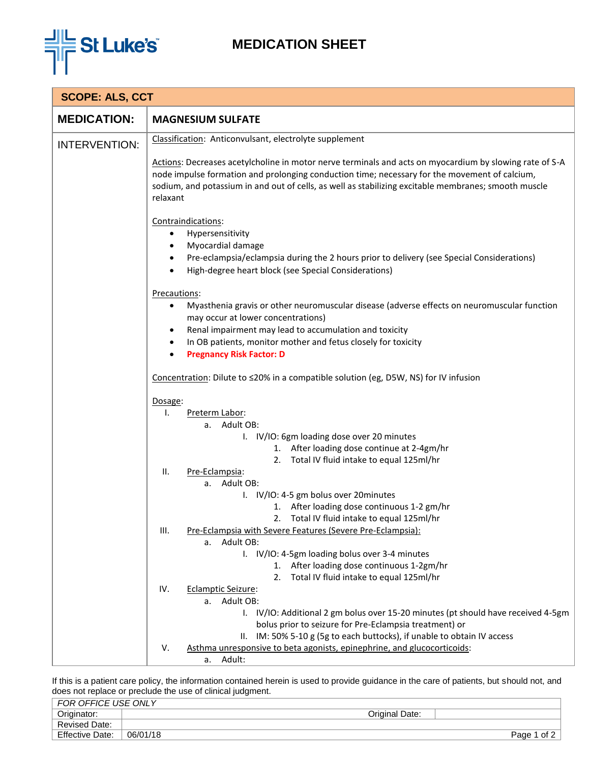

## **MEDICATION SHEET**

| <b>SCOPE: ALS, CCT</b> |                                                                                                                                                                                                                                                                                                                              |  |  |
|------------------------|------------------------------------------------------------------------------------------------------------------------------------------------------------------------------------------------------------------------------------------------------------------------------------------------------------------------------|--|--|
| <b>MEDICATION:</b>     | <b>MAGNESIUM SULFATE</b>                                                                                                                                                                                                                                                                                                     |  |  |
| <b>INTERVENTION:</b>   | Classification: Anticonvulsant, electrolyte supplement                                                                                                                                                                                                                                                                       |  |  |
|                        | Actions: Decreases acetylcholine in motor nerve terminals and acts on myocardium by slowing rate of S-A<br>node impulse formation and prolonging conduction time; necessary for the movement of calcium,<br>sodium, and potassium in and out of cells, as well as stabilizing excitable membranes; smooth muscle<br>relaxant |  |  |
|                        | Contraindications:                                                                                                                                                                                                                                                                                                           |  |  |
|                        | Hypersensitivity                                                                                                                                                                                                                                                                                                             |  |  |
|                        | Myocardial damage                                                                                                                                                                                                                                                                                                            |  |  |
|                        | Pre-eclampsia/eclampsia during the 2 hours prior to delivery (see Special Considerations)<br>$\bullet$                                                                                                                                                                                                                       |  |  |
|                        | High-degree heart block (see Special Considerations)                                                                                                                                                                                                                                                                         |  |  |
|                        | Precautions:                                                                                                                                                                                                                                                                                                                 |  |  |
|                        | Myasthenia gravis or other neuromuscular disease (adverse effects on neuromuscular function<br>$\bullet$<br>may occur at lower concentrations)                                                                                                                                                                               |  |  |
|                        | Renal impairment may lead to accumulation and toxicity                                                                                                                                                                                                                                                                       |  |  |
|                        | In OB patients, monitor mother and fetus closely for toxicity<br>$\bullet$                                                                                                                                                                                                                                                   |  |  |
|                        | <b>Pregnancy Risk Factor: D</b><br>$\bullet$                                                                                                                                                                                                                                                                                 |  |  |
|                        | Concentration: Dilute to ≤20% in a compatible solution (eg, D5W, NS) for IV infusion                                                                                                                                                                                                                                         |  |  |
|                        | Dosage:                                                                                                                                                                                                                                                                                                                      |  |  |
|                        | Preterm Labor:<br>Ι.                                                                                                                                                                                                                                                                                                         |  |  |
|                        | Adult OB:<br>а.                                                                                                                                                                                                                                                                                                              |  |  |
|                        | I. IV/IO: 6gm loading dose over 20 minutes<br>1. After loading dose continue at 2-4gm/hr                                                                                                                                                                                                                                     |  |  |
|                        | Total IV fluid intake to equal 125ml/hr<br>2.                                                                                                                                                                                                                                                                                |  |  |
|                        | Pre-Eclampsia:<br>н.                                                                                                                                                                                                                                                                                                         |  |  |
|                        | Adult OB:<br>а.                                                                                                                                                                                                                                                                                                              |  |  |
|                        | I. IV/IO: 4-5 gm bolus over 20minutes                                                                                                                                                                                                                                                                                        |  |  |
|                        | 1. After loading dose continuous 1-2 gm/hr                                                                                                                                                                                                                                                                                   |  |  |
|                        | 2. Total IV fluid intake to equal 125ml/hr<br>Pre-Eclampsia with Severe Features (Severe Pre-Eclampsia):<br>III.                                                                                                                                                                                                             |  |  |
|                        | Adult OB:<br>а.                                                                                                                                                                                                                                                                                                              |  |  |
|                        | I. IV/IO: 4-5gm loading bolus over 3-4 minutes                                                                                                                                                                                                                                                                               |  |  |
|                        | 1. After loading dose continuous 1-2gm/hr                                                                                                                                                                                                                                                                                    |  |  |
|                        | Total IV fluid intake to equal 125ml/hr<br>2.                                                                                                                                                                                                                                                                                |  |  |
|                        | IV.<br><b>Eclamptic Seizure:</b>                                                                                                                                                                                                                                                                                             |  |  |
|                        | a. Adult OB:<br>I. IV/IO: Additional 2 gm bolus over 15-20 minutes (pt should have received 4-5gm                                                                                                                                                                                                                            |  |  |
|                        | bolus prior to seizure for Pre-Eclampsia treatment) or                                                                                                                                                                                                                                                                       |  |  |
|                        | II. IM: 50% 5-10 g (5g to each buttocks), if unable to obtain IV access                                                                                                                                                                                                                                                      |  |  |
|                        | Asthma unresponsive to beta agonists, epinephrine, and glucocorticoids:<br>V.                                                                                                                                                                                                                                                |  |  |
|                        | a. Adult:                                                                                                                                                                                                                                                                                                                    |  |  |

If this is a patient care policy, the information contained herein is used to provide guidance in the care of patients, but should not, and does not replace or preclude the use of clinical judgment.

| FOR OFFICE USE ONLY    |                |                    |
|------------------------|----------------|--------------------|
| Originator:            | Original Date: |                    |
| <b>Revised Date:</b>   |                |                    |
| <b>Effective Date:</b> | 06/01/18       | of 2 $ $<br>Page 1 |